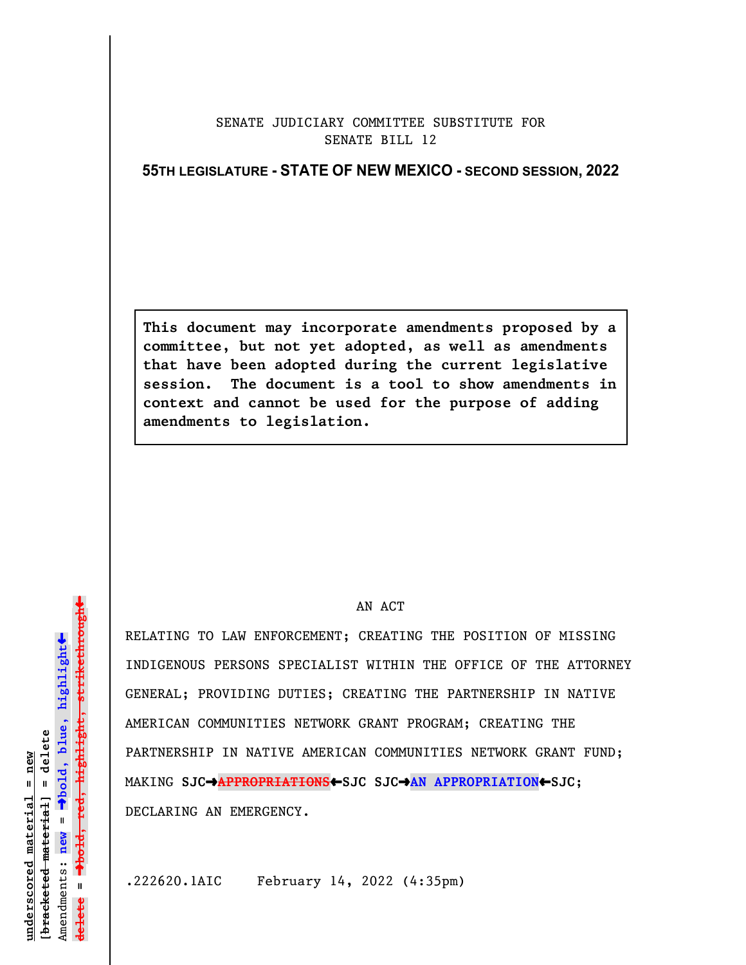## SENATE JUDICIARY COMMITTEE SUBSTITUTE FOR SENATE BILL 12

## **55TH LEGISLATURE - STATE OF NEW MEXICO - SECOND SESSION, 2022**

**This document may incorporate amendments proposed by a committee, but not yet adopted, as well as amendments that have been adopted during the current legislative session. The document is a tool to show amendments in context and cannot be used for the purpose of adding amendments to legislation.**

## AN ACT

RELATING TO LAW ENFORCEMENT; CREATING THE POSITION OF MISSING INDIGENOUS PERSONS SPECIALIST WITHIN THE OFFICE OF THE ATTORNEY GENERAL; PROVIDING DUTIES; CREATING THE PARTNERSHIP IN NATIVE AMERICAN COMMUNITIES NETWORK GRANT PROGRAM; CREATING THE PARTNERSHIP IN NATIVE AMERICAN COMMUNITIES NETWORK GRANT FUND; MAKING **SJC**º**APPROPRIATIONS**»**SJC SJC**º**AN APPROPRIATION**»**SJC**; DECLARING AN EMERGENCY.

.222620.1AIC February 14, 2022 (4:35pm)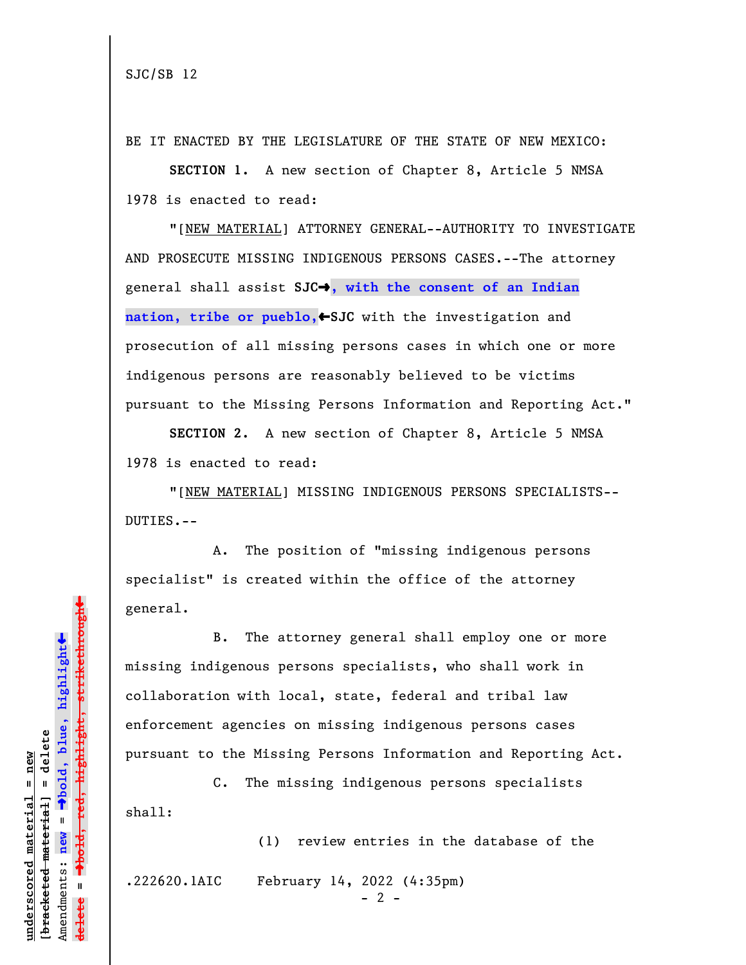BE IT ENACTED BY THE LEGISLATURE OF THE STATE OF NEW MEXICO:

**SECTION 1.** A new section of Chapter 8, Article 5 NMSA 1978 is enacted to read:

"[NEW MATERIAL] ATTORNEY GENERAL--AUTHORITY TO INVESTIGATE AND PROSECUTE MISSING INDIGENOUS PERSONS CASES.--The attorney general shall assist **SJC**º**, with the consent of an Indian** nation, tribe or pueblo, SJC with the investigation and prosecution of all missing persons cases in which one or more indigenous persons are reasonably believed to be victims pursuant to the Missing Persons Information and Reporting Act."

**SECTION 2.** A new section of Chapter 8, Article 5 NMSA 1978 is enacted to read:

"[NEW MATERIAL] MISSING INDIGENOUS PERSONS SPECIALISTS-- DUTIES.--

A. The position of "missing indigenous persons specialist" is created within the office of the attorney general.

B. The attorney general shall employ one or more missing indigenous persons specialists, who shall work in collaboration with local, state, federal and tribal law enforcement agencies on missing indigenous persons cases pursuant to the Missing Persons Information and Reporting Act.

C. The missing indigenous persons specialists shall:

(1) review entries in the database of the .222620.1AIC February 14, 2022 (4:35pm)

 $- 2 -$ 

 $\ddag$ º**bold, red, highlight, strikethrough**  $\ddot{\bullet}$ º**bold, blue, highlight**  $b$ racketed material] = delete **[bracketed material] = delete** inderscored material = new **underscored material = new** Amendments: **new** =  $\mathbf{u}$ Amendments: new **delete =**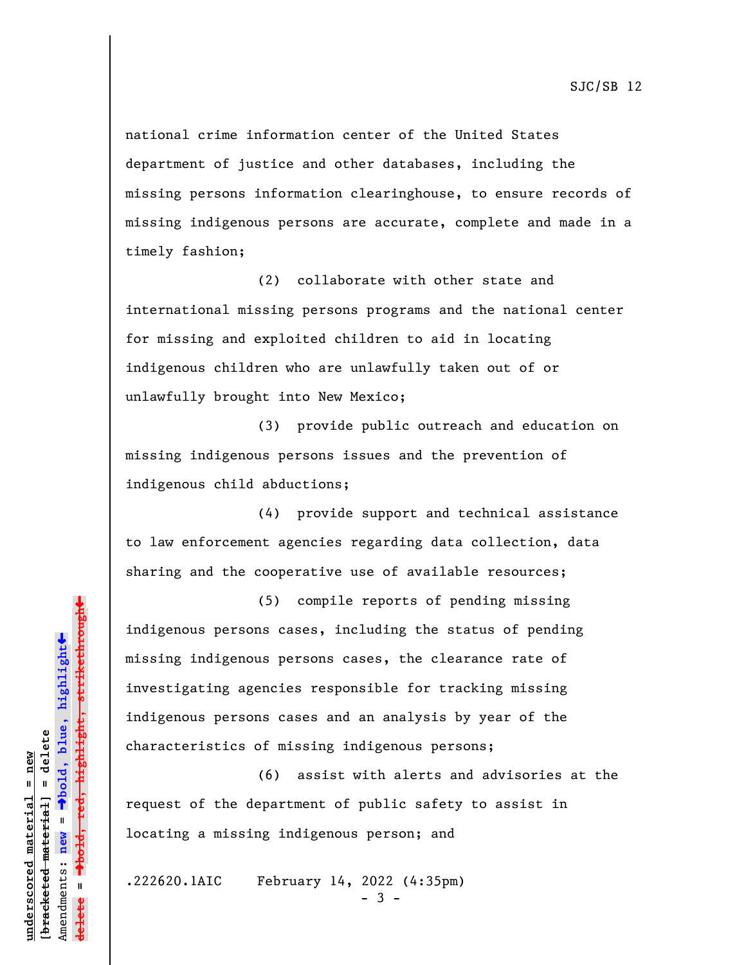national crime information center of the United States department of justice and other databases, including the missing persons information clearinghouse, to ensure records of missing indigenous persons are accurate, complete and made in a timely fashion;

(2) collaborate with other state and international missing persons programs and the national center for missing and exploited children to aid in locating indigenous children who are unlawfully taken out of or unlawfully brought into New Mexico;

(3) provide public outreach and education on missing indigenous persons issues and the prevention of indigenous child abductions;

(4) provide support and technical assistance to law enforcement agencies regarding data collection, data sharing and the cooperative use of available resources;

(5) compile reports of pending missing indigenous persons cases, including the status of pending missing indigenous persons cases, the clearance rate of investigating agencies responsible for tracking missing indigenous persons cases and an analysis by year of the characteristics of missing indigenous persons;

(6) assist with alerts and advisories at the request of the department of public safety to assist in locating a missing indigenous person; and

.222620.1AIC February 14, 2022 (4:35pm)

- 3 -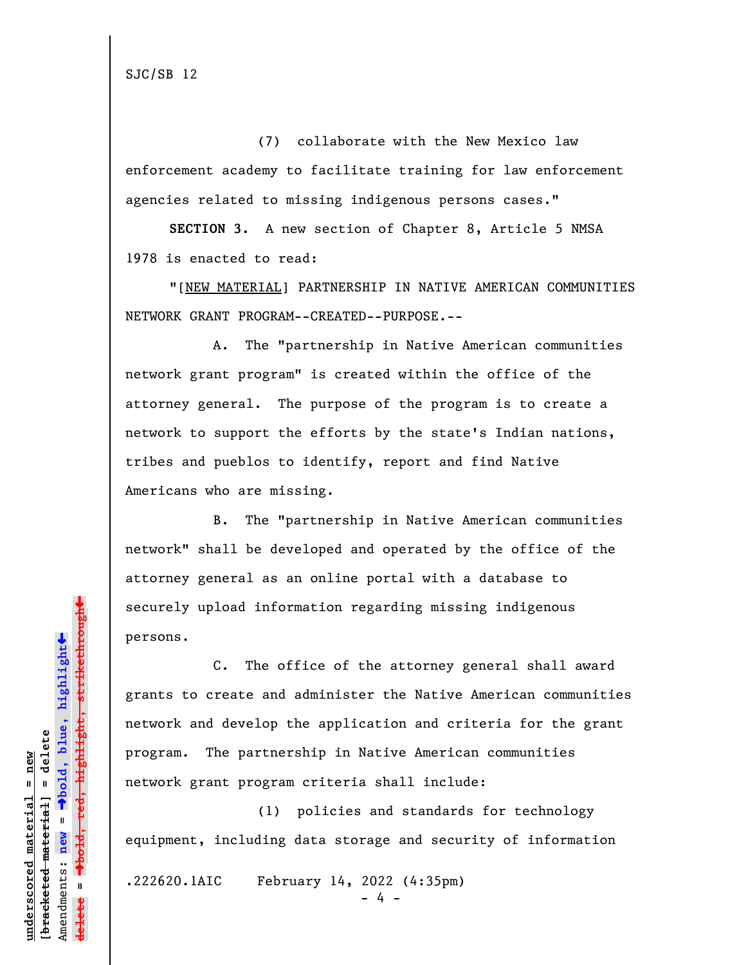SJC/SB 12

(7) collaborate with the New Mexico law enforcement academy to facilitate training for law enforcement agencies related to missing indigenous persons cases."

**SECTION 3.** A new section of Chapter 8, Article 5 NMSA 1978 is enacted to read:

"[NEW MATERIAL] PARTNERSHIP IN NATIVE AMERICAN COMMUNITIES NETWORK GRANT PROGRAM--CREATED--PURPOSE.--

A. The "partnership in Native American communities network grant program" is created within the office of the attorney general. The purpose of the program is to create a network to support the efforts by the state's Indian nations, tribes and pueblos to identify, report and find Native Americans who are missing.

B. The "partnership in Native American communities network" shall be developed and operated by the office of the attorney general as an online portal with a database to securely upload information regarding missing indigenous persons.

C. The office of the attorney general shall award grants to create and administer the Native American communities network and develop the application and criteria for the grant program. The partnership in Native American communities network grant program criteria shall include:

(1) policies and standards for technology equipment, including data storage and security of information

.222620.1AIC February 14, 2022 (4:35pm)

 $4 -$ 

 $\ddag$ º**bold, red, highlight, strikethrough**  $\ddot{\bullet}$ º**bold, blue, highlight** bracketed material] = delete **[bracketed material] = delete** inderscored material = new **underscored material = new** Amendments: **new** =  $\mathbf{I}$ Amendments: new **delete =**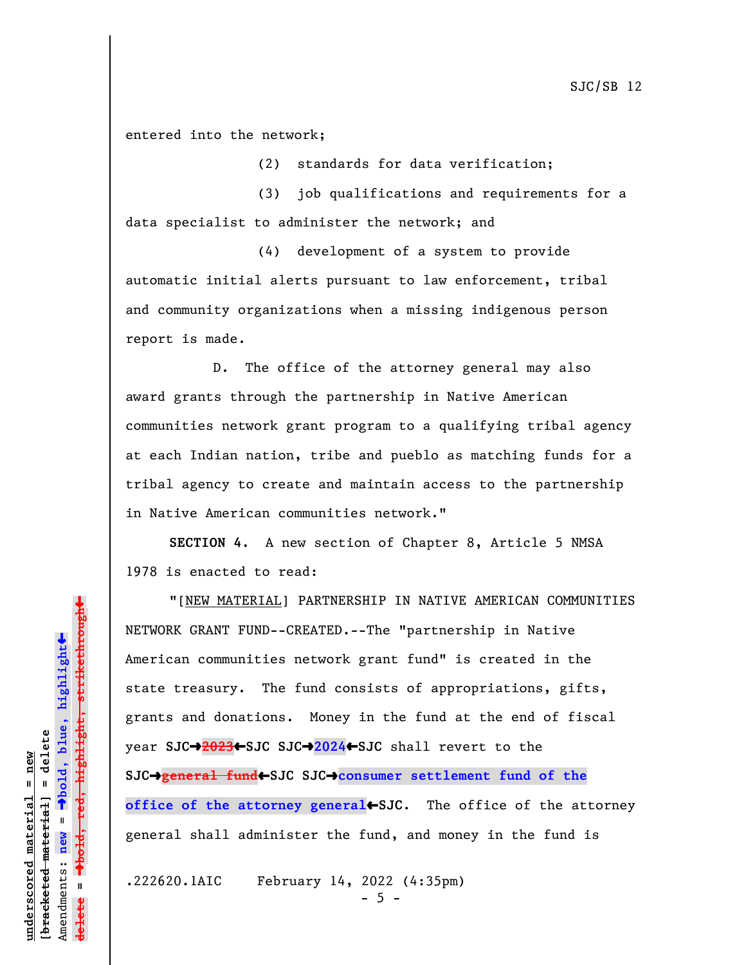entered into the network;

(2) standards for data verification;

(3) job qualifications and requirements for a data specialist to administer the network; and

(4) development of a system to provide automatic initial alerts pursuant to law enforcement, tribal and community organizations when a missing indigenous person report is made.

D. The office of the attorney general may also award grants through the partnership in Native American communities network grant program to a qualifying tribal agency at each Indian nation, tribe and pueblo as matching funds for a tribal agency to create and maintain access to the partnership in Native American communities network."

**SECTION 4.** A new section of Chapter 8, Article 5 NMSA 1978 is enacted to read:

"[NEW MATERIAL] PARTNERSHIP IN NATIVE AMERICAN COMMUNITIES NETWORK GRANT FUND--CREATED.--The "partnership in Native American communities network grant fund" is created in the state treasury. The fund consists of appropriations, gifts, grants and donations. Money in the fund at the end of fiscal year **SJC**º**2023**»**SJC SJC**º**2024**»**SJC** shall revert to the **SJC**º**general fund**»**SJC SJC**º**consumer settlement fund of the office of the attorney general**•SJC. The office of the attorney general shall administer the fund, and money in the fund is

.222620.1AIC February 14, 2022 (4:35pm)

 $-5 -$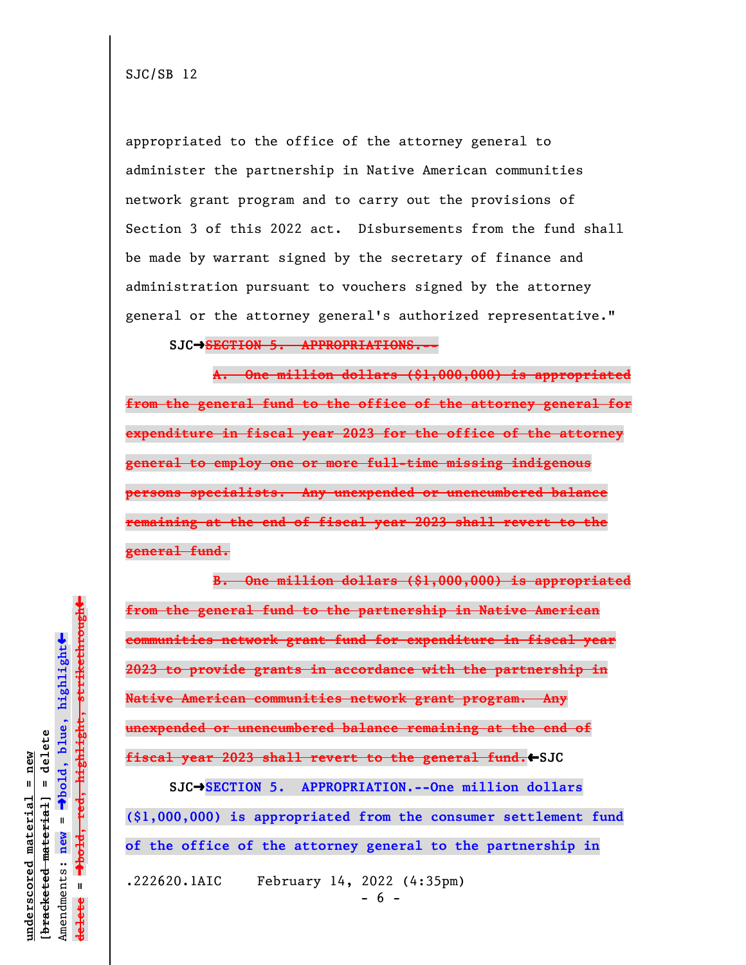SJC/SB 12

appropriated to the office of the attorney general to administer the partnership in Native American communities network grant program and to carry out the provisions of Section 3 of this 2022 act. Disbursements from the fund shall be made by warrant signed by the secretary of finance and administration pursuant to vouchers signed by the attorney general or the attorney general's authorized representative."

**SJC**º**SECTION 5. APPROPRIATIONS.--**

**A. One million dollars (\$1,000,000) is appropriated from the general fund to the office of the attorney general for expenditure in fiscal year 2023 for the office of the attorney general to employ one or more full-time missing indigenous persons specialists. Any unexpended or unencumbered balance remaining at the end of fiscal year 2023 shall revert to the general fund.**

**B. One million dollars (\$1,000,000) is appropriated from the general fund to the partnership in Native American communities network grant fund for expenditure in fiscal year 2023 to provide grants in accordance with the partnership in Native American communities network grant program. Any unexpended or unencumbered balance remaining at the end of fiscal year 2023 shall revert to the general fund.** SJC **SJC**º**SECTION 5. APPROPRIATION.--One million dollars**

**(\$1,000,000) is appropriated from the consumer settlement fund of the office of the attorney general to the partnership in** .222620.1AIC February 14, 2022 (4:35pm)

- 6 -

 $\ddag$ º**bold, red, highlight, strikethrough**  $\ddot{\bullet}$ º**bold, blue, highlight**  $b$ racketed material] = delete **[bracketed material] = delete** inderscored material = new **underscored material = new** Amendments: new = Amendments: **new** =  $\mathbf{I}$ **delete =** lelete